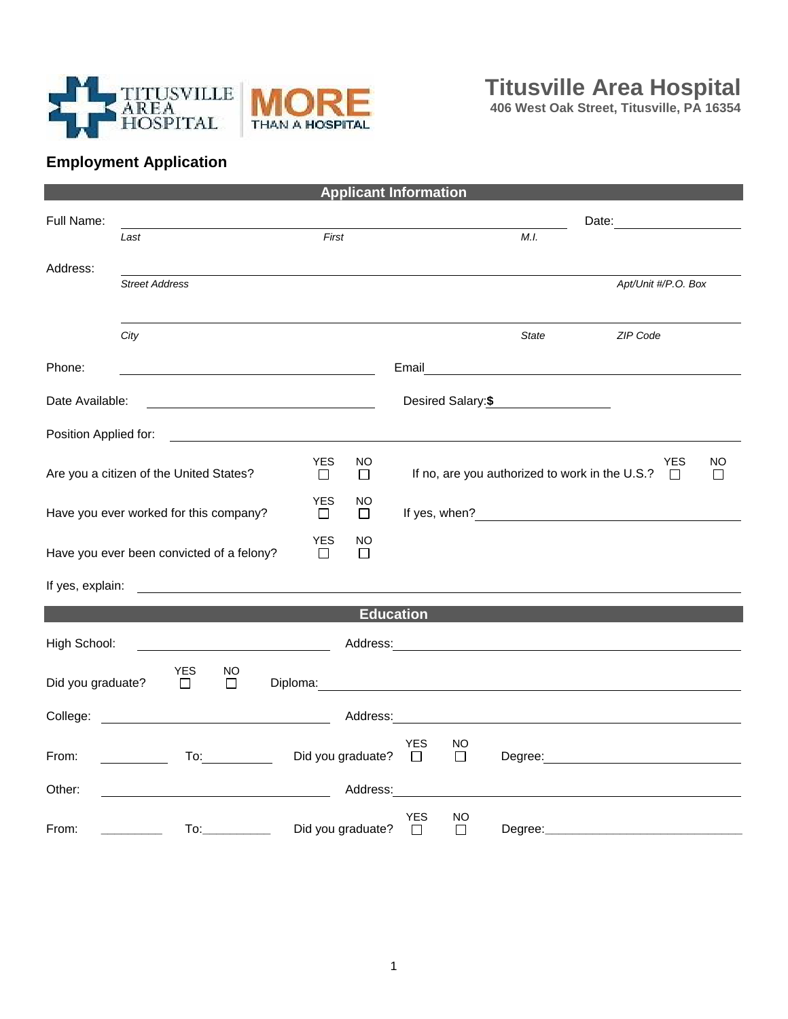

**406 West Oak Street, Titusville, PA 16354**

## **Employment Application**

| <b>Applicant Information</b>                                  |                                       |               |                                                                                                                                                                                                                                |                                                                                                                                                                                                                                      |                   |                                                                    |        |                                                                                                                                                                                                                                |                                                                                                                                                                                                                                |    |
|---------------------------------------------------------------|---------------------------------------|---------------|--------------------------------------------------------------------------------------------------------------------------------------------------------------------------------------------------------------------------------|--------------------------------------------------------------------------------------------------------------------------------------------------------------------------------------------------------------------------------------|-------------------|--------------------------------------------------------------------|--------|--------------------------------------------------------------------------------------------------------------------------------------------------------------------------------------------------------------------------------|--------------------------------------------------------------------------------------------------------------------------------------------------------------------------------------------------------------------------------|----|
| Full Name:                                                    |                                       |               |                                                                                                                                                                                                                                |                                                                                                                                                                                                                                      |                   |                                                                    |        |                                                                                                                                                                                                                                | Date:                                                                                                                                                                                                                          |    |
|                                                               | Last                                  |               |                                                                                                                                                                                                                                |                                                                                                                                                                                                                                      | First             |                                                                    |        | M.I.                                                                                                                                                                                                                           |                                                                                                                                                                                                                                |    |
| Address:                                                      |                                       |               |                                                                                                                                                                                                                                |                                                                                                                                                                                                                                      |                   |                                                                    |        |                                                                                                                                                                                                                                |                                                                                                                                                                                                                                |    |
|                                                               | <b>Street Address</b>                 |               |                                                                                                                                                                                                                                |                                                                                                                                                                                                                                      |                   |                                                                    |        |                                                                                                                                                                                                                                | Apt/Unit #/P.O. Box                                                                                                                                                                                                            |    |
|                                                               |                                       |               |                                                                                                                                                                                                                                |                                                                                                                                                                                                                                      |                   |                                                                    |        |                                                                                                                                                                                                                                |                                                                                                                                                                                                                                |    |
|                                                               | City                                  |               |                                                                                                                                                                                                                                |                                                                                                                                                                                                                                      |                   |                                                                    |        | <b>State</b>                                                                                                                                                                                                                   | ZIP Code                                                                                                                                                                                                                       |    |
| Phone:                                                        |                                       |               |                                                                                                                                                                                                                                |                                                                                                                                                                                                                                      |                   |                                                                    |        |                                                                                                                                                                                                                                |                                                                                                                                                                                                                                |    |
|                                                               |                                       |               |                                                                                                                                                                                                                                |                                                                                                                                                                                                                                      |                   |                                                                    |        |                                                                                                                                                                                                                                |                                                                                                                                                                                                                                |    |
|                                                               | Desired Salary: \$<br>Date Available: |               |                                                                                                                                                                                                                                |                                                                                                                                                                                                                                      |                   |                                                                    |        |                                                                                                                                                                                                                                |                                                                                                                                                                                                                                |    |
| Position Applied for:                                         |                                       |               |                                                                                                                                                                                                                                |                                                                                                                                                                                                                                      |                   |                                                                    |        |                                                                                                                                                                                                                                |                                                                                                                                                                                                                                |    |
|                                                               |                                       |               |                                                                                                                                                                                                                                | <b>YES</b>                                                                                                                                                                                                                           | <b>NO</b>         |                                                                    |        |                                                                                                                                                                                                                                | YES                                                                                                                                                                                                                            | NO |
| Are you a citizen of the United States?<br>$\Box$<br>$\Box$   |                                       |               |                                                                                                                                                                                                                                |                                                                                                                                                                                                                                      |                   | If no, are you authorized to work in the U.S.?<br>$\Box$<br>$\Box$ |        |                                                                                                                                                                                                                                |                                                                                                                                                                                                                                |    |
| YES<br>NO<br>Have you ever worked for this company?<br>$\Box$ |                                       |               |                                                                                                                                                                                                                                |                                                                                                                                                                                                                                      | $\Box$            |                                                                    |        |                                                                                                                                                                                                                                | If yes, when?                                                                                                                                                                                                                  |    |
|                                                               |                                       |               |                                                                                                                                                                                                                                | <b>YES</b>                                                                                                                                                                                                                           | NO                |                                                                    |        |                                                                                                                                                                                                                                |                                                                                                                                                                                                                                |    |
| Have you ever been convicted of a felony?<br>П<br>$\Box$      |                                       |               |                                                                                                                                                                                                                                |                                                                                                                                                                                                                                      |                   |                                                                    |        |                                                                                                                                                                                                                                |                                                                                                                                                                                                                                |    |
| If yes, explain:                                              |                                       |               |                                                                                                                                                                                                                                | <u>and the state of the state of the state of the state of the state of the state of the state of the state of the state of the state of the state of the state of the state of the state of the state of the state of the state</u> |                   |                                                                    |        |                                                                                                                                                                                                                                |                                                                                                                                                                                                                                |    |
| <b>Education</b>                                              |                                       |               |                                                                                                                                                                                                                                |                                                                                                                                                                                                                                      |                   |                                                                    |        |                                                                                                                                                                                                                                |                                                                                                                                                                                                                                |    |
| High School:                                                  |                                       |               |                                                                                                                                                                                                                                |                                                                                                                                                                                                                                      |                   |                                                                    |        |                                                                                                                                                                                                                                |                                                                                                                                                                                                                                |    |
|                                                               |                                       |               |                                                                                                                                                                                                                                |                                                                                                                                                                                                                                      |                   |                                                                    |        |                                                                                                                                                                                                                                |                                                                                                                                                                                                                                |    |
| Did you graduate?                                             |                                       | YES<br>$\Box$ | $\overline{\Box}$                                                                                                                                                                                                              |                                                                                                                                                                                                                                      |                   |                                                                    |        |                                                                                                                                                                                                                                |                                                                                                                                                                                                                                |    |
| College:                                                      |                                       |               |                                                                                                                                                                                                                                | <u> 1980 - Jan Samuel Barbara, político establecer a la propia de la propia de la propia de la propia de la propi</u>                                                                                                                |                   |                                                                    |        | Address: Analysis and the state of the state of the state of the state of the state of the state of the state of the state of the state of the state of the state of the state of the state of the state of the state of the s |                                                                                                                                                                                                                                |    |
|                                                               |                                       |               |                                                                                                                                                                                                                                |                                                                                                                                                                                                                                      |                   | <b>YES</b>                                                         | NO     |                                                                                                                                                                                                                                |                                                                                                                                                                                                                                |    |
| From:                                                         |                                       |               | To: the contract of the contract of the contract of the contract of the contract of the contract of the contract of the contract of the contract of the contract of the contract of the contract of the contract of the contra |                                                                                                                                                                                                                                      | Did you graduate? | $\Box$                                                             | □      |                                                                                                                                                                                                                                | Degree: the contract of the contract of the contract of the contract of the contract of the contract of the contract of the contract of the contract of the contract of the contract of the contract of the contract of the co |    |
| Other:                                                        |                                       |               |                                                                                                                                                                                                                                | <u> 1980 - Johann Barbara, martin d</u>                                                                                                                                                                                              | Address:          |                                                                    |        |                                                                                                                                                                                                                                |                                                                                                                                                                                                                                |    |
|                                                               |                                       |               |                                                                                                                                                                                                                                |                                                                                                                                                                                                                                      |                   | YES                                                                | NO     |                                                                                                                                                                                                                                |                                                                                                                                                                                                                                |    |
| From:                                                         |                                       |               | To: the contract of the contract of the contract of the contract of the contract of the contract of the contract of the contract of the contract of the contract of the contract of the contract of the contract of the contra |                                                                                                                                                                                                                                      | Did you graduate? | $\Box$                                                             | $\Box$ |                                                                                                                                                                                                                                | Degree: Degree:                                                                                                                                                                                                                |    |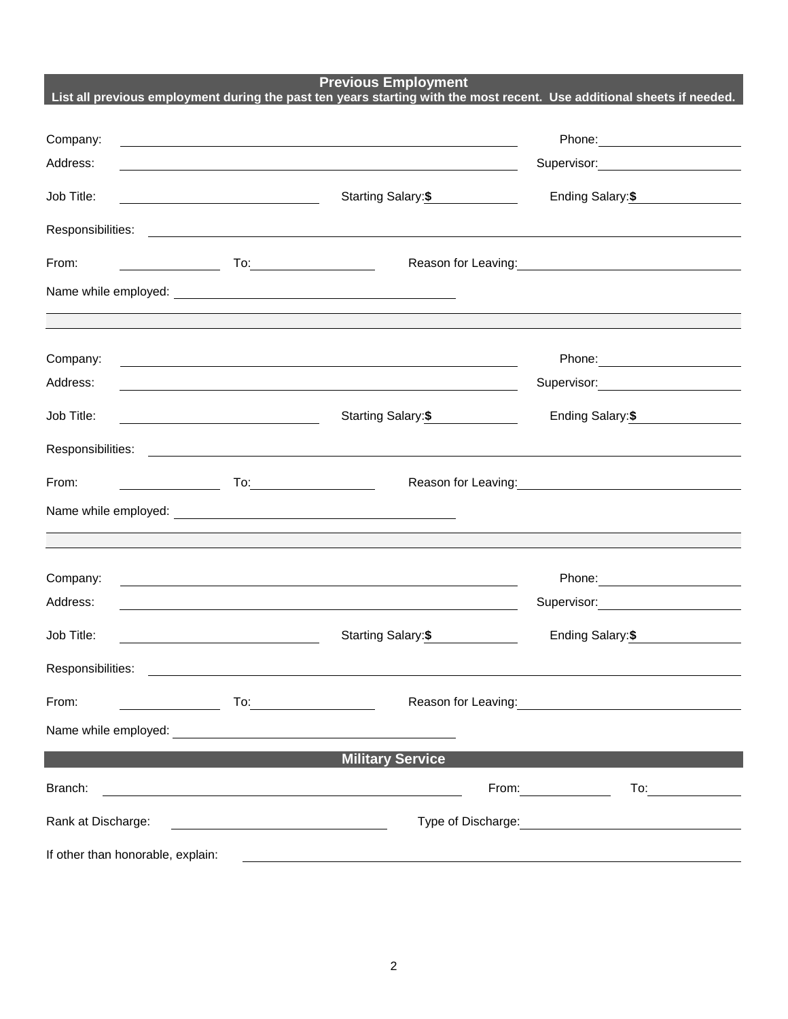**Previous Employment**

|                                                                                                                                                                                                                                               |                                                                                                                                                                                                                                                                                                                                                                                                                                                         |                                                                                                                        | List all previous employment during the past ten years starting with the most recent. Use additional sheets if needed.                                                                                                               |  |  |  |
|-----------------------------------------------------------------------------------------------------------------------------------------------------------------------------------------------------------------------------------------------|---------------------------------------------------------------------------------------------------------------------------------------------------------------------------------------------------------------------------------------------------------------------------------------------------------------------------------------------------------------------------------------------------------------------------------------------------------|------------------------------------------------------------------------------------------------------------------------|--------------------------------------------------------------------------------------------------------------------------------------------------------------------------------------------------------------------------------------|--|--|--|
|                                                                                                                                                                                                                                               |                                                                                                                                                                                                                                                                                                                                                                                                                                                         |                                                                                                                        |                                                                                                                                                                                                                                      |  |  |  |
| Company:                                                                                                                                                                                                                                      |                                                                                                                                                                                                                                                                                                                                                                                                                                                         | <u> 1989 - Johann Stein, marwolaethau a bhann an t-Amhain an t-Amhain an t-Amhain an t-Amhain an t-Amhain an t-A</u>   |                                                                                                                                                                                                                                      |  |  |  |
| Address:                                                                                                                                                                                                                                      |                                                                                                                                                                                                                                                                                                                                                                                                                                                         | <u> 1989 - Johann Stoff, deutscher Stoffen und der Stoffen und der Stoffen und der Stoffen und der Stoffen und der</u> | Supervisor: Victor Control of Control Control Control Control Control Control Control Control Control Control Co                                                                                                                     |  |  |  |
| Job Title:                                                                                                                                                                                                                                    | <u> 1989 - Johann Barn, mars eta bainar eta idazlea (</u>                                                                                                                                                                                                                                                                                                                                                                                               | Starting Salary: \$                                                                                                    | Ending Salary: \$                                                                                                                                                                                                                    |  |  |  |
|                                                                                                                                                                                                                                               |                                                                                                                                                                                                                                                                                                                                                                                                                                                         |                                                                                                                        | Responsibilities: <u>contract and contract and contract and contract and contract and contract and contract and contract and contract and contract and contract and contract and contract and contract and contract and contract</u> |  |  |  |
| From:                                                                                                                                                                                                                                         |                                                                                                                                                                                                                                                                                                                                                                                                                                                         |                                                                                                                        | Reason for Leaving: Management Control of Reason for Leaving:                                                                                                                                                                        |  |  |  |
|                                                                                                                                                                                                                                               |                                                                                                                                                                                                                                                                                                                                                                                                                                                         |                                                                                                                        |                                                                                                                                                                                                                                      |  |  |  |
|                                                                                                                                                                                                                                               |                                                                                                                                                                                                                                                                                                                                                                                                                                                         |                                                                                                                        | <u> 1989 - Andrea Santa Andrea Andrea Andrea Andrea Andrea Andrea Andrea Andrea Andrea Andrea Andrea Andrea Andr</u>                                                                                                                 |  |  |  |
| Company:                                                                                                                                                                                                                                      |                                                                                                                                                                                                                                                                                                                                                                                                                                                         | <u> 1989 - Johann Stoff, deutscher Stoff, der Stoff, der Stoff, der Stoff, der Stoff, der Stoff, der Stoff, der S</u>  |                                                                                                                                                                                                                                      |  |  |  |
| Address:                                                                                                                                                                                                                                      |                                                                                                                                                                                                                                                                                                                                                                                                                                                         | <u> 1989 - Johann Barnett, fransk politik (f. 1989)</u>                                                                | Supervisor: Victor Control of Control Control Control Control Control Control Control Control Control Control Co                                                                                                                     |  |  |  |
| Job Title:                                                                                                                                                                                                                                    | <u> 1989 - Johann Barnett, fransk politiker (</u>                                                                                                                                                                                                                                                                                                                                                                                                       | Starting Salary: \$                                                                                                    | Ending Salary: \$                                                                                                                                                                                                                    |  |  |  |
|                                                                                                                                                                                                                                               |                                                                                                                                                                                                                                                                                                                                                                                                                                                         |                                                                                                                        |                                                                                                                                                                                                                                      |  |  |  |
| From:                                                                                                                                                                                                                                         | $\begin{array}{c}\n\hline\n\end{array}$ $\begin{array}{c}\n\hline\n\end{array}$ $\begin{array}{c}\n\hline\n\end{array}$ $\begin{array}{c}\n\hline\n\end{array}$ $\begin{array}{c}\n\hline\n\end{array}$ $\begin{array}{c}\n\hline\n\end{array}$ $\begin{array}{c}\n\hline\n\end{array}$ $\begin{array}{c}\n\hline\n\end{array}$ $\begin{array}{c}\n\hline\n\end{array}$ $\begin{array}{c}\n\hline\n\end{array}$ $\begin{array}{c}\n\hline\n\end{array}$ |                                                                                                                        | Reason for Leaving:<br><u>Neason</u> for Leaving:                                                                                                                                                                                    |  |  |  |
|                                                                                                                                                                                                                                               |                                                                                                                                                                                                                                                                                                                                                                                                                                                         |                                                                                                                        |                                                                                                                                                                                                                                      |  |  |  |
|                                                                                                                                                                                                                                               |                                                                                                                                                                                                                                                                                                                                                                                                                                                         |                                                                                                                        |                                                                                                                                                                                                                                      |  |  |  |
| Company:                                                                                                                                                                                                                                      |                                                                                                                                                                                                                                                                                                                                                                                                                                                         | <u> 1980 - Jan Samuel Barbara, martin da shekara tsara 1980 - An tsara 1980 - An tsara 1980 - An tsara 1980 - An</u>   |                                                                                                                                                                                                                                      |  |  |  |
| Address:                                                                                                                                                                                                                                      |                                                                                                                                                                                                                                                                                                                                                                                                                                                         | <u> 1989 - Johann Stoff, deutscher Stoff, der Stoff, der Stoff, der Stoff, der Stoff, der Stoff, der Stoff, der S</u>  | Supervisor: Victor Andrew Management Communication                                                                                                                                                                                   |  |  |  |
| Job Title:                                                                                                                                                                                                                                    |                                                                                                                                                                                                                                                                                                                                                                                                                                                         | Starting Salary:\$                                                                                                     | Ending Salary:\$                                                                                                                                                                                                                     |  |  |  |
| Responsibilities:                                                                                                                                                                                                                             |                                                                                                                                                                                                                                                                                                                                                                                                                                                         |                                                                                                                        |                                                                                                                                                                                                                                      |  |  |  |
| From:<br><u>and the community of the community of the community of the community of the community of the community of the community of the community of the community of the community of the community of the community of the community</u> |                                                                                                                                                                                                                                                                                                                                                                                                                                                         |                                                                                                                        | Reason for Leaving:<br><u> </u>                                                                                                                                                                                                      |  |  |  |
|                                                                                                                                                                                                                                               |                                                                                                                                                                                                                                                                                                                                                                                                                                                         |                                                                                                                        |                                                                                                                                                                                                                                      |  |  |  |
|                                                                                                                                                                                                                                               |                                                                                                                                                                                                                                                                                                                                                                                                                                                         | <b>Military Service</b>                                                                                                |                                                                                                                                                                                                                                      |  |  |  |
| Branch:                                                                                                                                                                                                                                       |                                                                                                                                                                                                                                                                                                                                                                                                                                                         |                                                                                                                        | From: $\sqrt{2\pi}$<br>To: $\qquad \qquad$                                                                                                                                                                                           |  |  |  |
| Rank at Discharge:                                                                                                                                                                                                                            |                                                                                                                                                                                                                                                                                                                                                                                                                                                         |                                                                                                                        |                                                                                                                                                                                                                                      |  |  |  |
| If other than honorable, explain:                                                                                                                                                                                                             |                                                                                                                                                                                                                                                                                                                                                                                                                                                         | <u> 1989 - Johann Barbara, markazi batar a shekara 1989 - Andrea Santana a shekara 1989 - Andrea Santana a shekar</u>  |                                                                                                                                                                                                                                      |  |  |  |